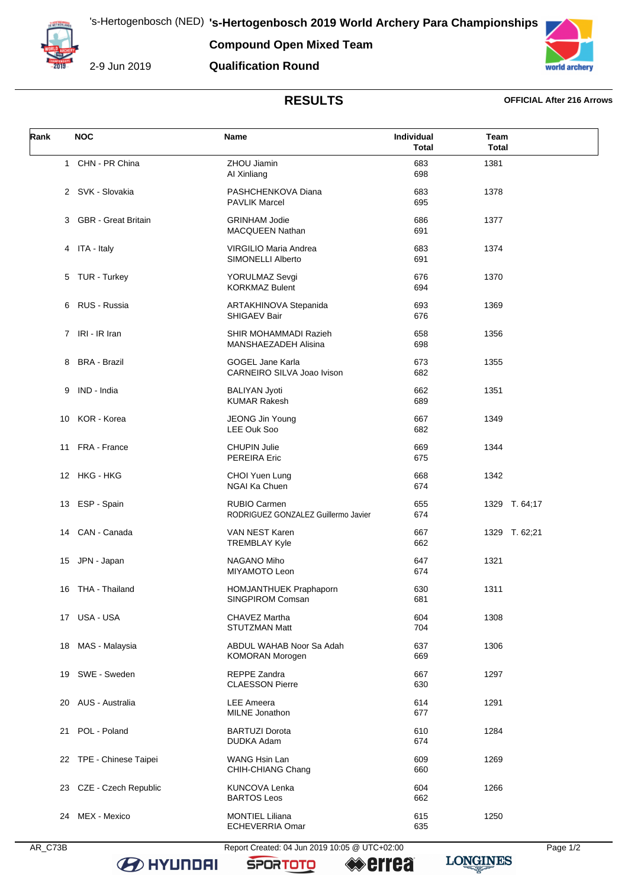's-Hertogenbosch (NED) **'s-Hertogenbosch 2019 World Archery Para Championships**

**Compound Open Mixed Team**



2-9 Jun 2019

## **Qualification Round**



# **RESULTS OFFICIAL After 216 Arrows**

| Rank | <b>NOC</b>                 | Name                                                       | Individual<br><b>Total</b> | Team<br><b>Total</b> |
|------|----------------------------|------------------------------------------------------------|----------------------------|----------------------|
| 1    | CHN - PR China             | ZHOU Jiamin<br>Al Xinliang                                 | 683<br>698                 | 1381                 |
|      | 2 SVK - Slovakia           | PASHCHENKOVA Diana<br><b>PAVLIK Marcel</b>                 | 683<br>695                 | 1378                 |
| 3    | <b>GBR</b> - Great Britain | <b>GRINHAM Jodie</b><br>MACQUEEN Nathan                    | 686<br>691                 | 1377                 |
|      | 4 ITA - Italy              | VIRGILIO Maria Andrea<br>SIMONELLI Alberto                 | 683<br>691                 | 1374                 |
|      | 5 TUR - Turkey             | YORULMAZ Sevgi<br><b>KORKMAZ Bulent</b>                    | 676<br>694                 | 1370                 |
|      | 6 RUS - Russia             | ARTAKHINOVA Stepanida<br><b>SHIGAEV Bair</b>               | 693<br>676                 | 1369                 |
|      | 7 IRI - IR Iran            | SHIR MOHAMMADI Razieh<br>MANSHAEZADEH Alisina              | 658<br>698                 | 1356                 |
|      | 8 BRA - Brazil             | <b>GOGEL Jane Karla</b><br>CARNEIRO SILVA Joao Ivison      | 673<br>682                 | 1355                 |
| 9    | IND - India                | <b>BALIYAN Jyoti</b><br><b>KUMAR Rakesh</b>                | 662<br>689                 | 1351                 |
|      | 10 KOR - Korea             | <b>JEONG Jin Young</b><br>LEE Ouk Soo                      | 667<br>682                 | 1349                 |
| 11   | FRA - France               | <b>CHUPIN Julie</b><br><b>PEREIRA Eric</b>                 | 669<br>675                 | 1344                 |
|      | 12 HKG - HKG               | CHOI Yuen Lung<br>NGAI Ka Chuen                            | 668<br>674                 | 1342                 |
| 13   | ESP - Spain                | <b>RUBIO Carmen</b><br>RODRIGUEZ GONZALEZ Guillermo Javier | 655<br>674                 | 1329 T. 64;17        |
|      | 14 CAN - Canada            | VAN NEST Karen<br><b>TREMBLAY Kyle</b>                     | 667<br>662                 | 1329 T. 62;21        |
| 15   | JPN - Japan                | NAGANO Miho<br>MIYAMOTO Leon                               | 647<br>674                 | 1321                 |
|      | 16 THA - Thailand          | <b>HOMJANTHUEK Praphaporn</b><br>SINGPIROM Comsan          | 630<br>681                 | 1311                 |
|      | 17 USA - USA               | CHAVEZ Martha<br><b>STUTZMAN Matt</b>                      | 604<br>704                 | 1308                 |
|      | 18 MAS - Malaysia          | ABDUL WAHAB Noor Sa Adah<br><b>KOMORAN Morogen</b>         | 637<br>669                 | 1306                 |
| 19   | SWE - Sweden               | <b>REPPE Zandra</b><br><b>CLAESSON Pierre</b>              | 667<br>630                 | 1297                 |
|      | 20 AUS - Australia         | <b>LEE</b> Ameera<br><b>MILNE</b> Jonathon                 | 614<br>677                 | 1291                 |
| 21   | POL - Poland               | <b>BARTUZI Dorota</b><br>DUDKA Adam                        | 610<br>674                 | 1284                 |
|      | 22 TPE - Chinese Taipei    | WANG Hsin Lan<br>CHIH-CHIANG Chang                         | 609<br>660                 | 1269                 |
| 23   | CZE - Czech Republic       | <b>KUNCOVA Lenka</b><br><b>BARTOS Leos</b>                 | 604<br>662                 | 1266                 |
| 24   | MEX - Mexico               | <b>MONTIEL Liliana</b><br>ECHEVERRIA Omar                  | 615<br>635                 | 1250                 |

**B** HYUNDAI

AR\_C73B Report Created: 04 Jun 2019 10:05 @ UTC+02:00 Page 1/2

**SPORTOTO** 

**errea** 

**LONGINES**